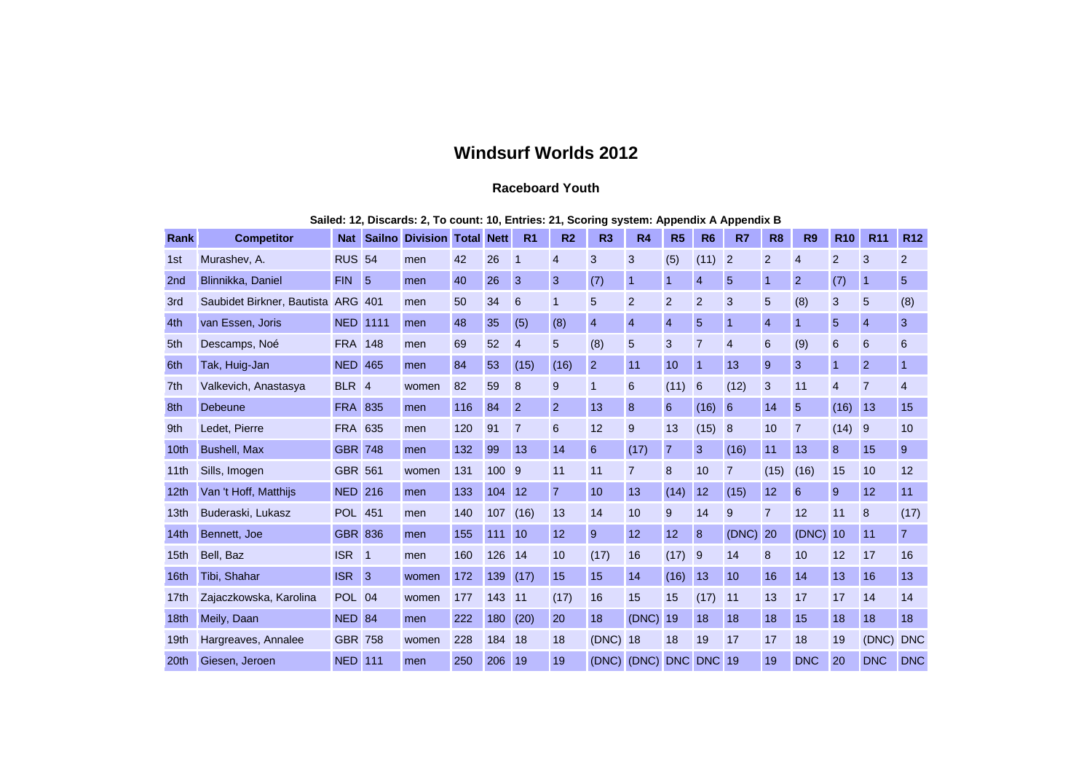## **Windsurf Worlds 2012**

## **Raceboard Youth**

|  | Sailed: 12, Discards: 2, To count: 10, Entries: 21, Scoring system: Appendix A Appendix B |  |  |  |  |
|--|-------------------------------------------------------------------------------------------|--|--|--|--|
|--|-------------------------------------------------------------------------------------------|--|--|--|--|

| Rank             | <b>Competitor</b>          | <b>Nat</b>       | <b>Sailno</b>  | <b>Division Total</b> |     | <b>Nett</b> | R <sub>1</sub> | R <sub>2</sub> | R3             | <b>R4</b>      | R <sub>5</sub> | R <sub>6</sub> | R7             | R <sub>8</sub> | R <sub>9</sub>  | <b>R10</b>     | <b>R11</b>     | <b>R12</b>      |
|------------------|----------------------------|------------------|----------------|-----------------------|-----|-------------|----------------|----------------|----------------|----------------|----------------|----------------|----------------|----------------|-----------------|----------------|----------------|-----------------|
| 1st              | Murashev, A.               | <b>RUS 54</b>    |                | men                   | 42  | 26          | $\mathbf 1$    | $\overline{4}$ | 3              | 3              | (5)            | (11)           | $\overline{2}$ | $\overline{2}$ | $\overline{4}$  | 2              | 3              | 2               |
| 2 <sub>nd</sub>  | Blinnikka, Daniel          | <b>FIN</b>       | $\overline{5}$ | men                   | 40  | 26          | 3              | 3              | (7)            | $\mathbf{1}$   | $\mathbf{1}$   | $\overline{4}$ | 5              | $\overline{1}$ | $\overline{2}$  | (7)            | 1              | $5\phantom{.0}$ |
| 3rd              | Saubidet Birkner, Bautista | <b>ARG</b>       | 401            | men                   | 50  | 34          | 6              | $\mathbf{1}$   | 5              | $\overline{2}$ | $\overline{2}$ | $\overline{2}$ | 3              | 5              | (8)             | 3              | 5              | (8)             |
| 4th              | van Essen, Joris           | <b>NED</b>       | 1111           | men                   | 48  | 35          | (5)            | (8)            | $\overline{4}$ | $\overline{4}$ | $\overline{4}$ | $\sqrt{5}$     | $\overline{1}$ | $\overline{4}$ | $\mathbf{1}$    | 5              | $\overline{4}$ | $\mathbf{3}$    |
| 5th              | Descamps, Noé              | <b>FRA</b>       | 148            | men                   | 69  | 52          | $\overline{4}$ | 5              | (8)            | 5              | 3              | $\overline{7}$ | $\overline{4}$ | 6              | (9)             | 6              | 6              | 6               |
| 6th              | Tak, Huig-Jan              | <b>NED 465</b>   |                | men                   | 84  | 53          | (15)           | (16)           | $\overline{2}$ | 11             | 10             | $\overline{1}$ | 13             | 9              | 3               |                | $\overline{2}$ | $\overline{1}$  |
| 7th              | Valkevich, Anastasya       | BLR <sub>4</sub> |                | women                 | 82  | 59          | 8              | 9              | $\mathbf{1}$   | 6              | (11)           | 6              | (12)           | 3              | 11              | $\overline{4}$ | $\overline{7}$ | $\overline{4}$  |
| 8th              | Debeune                    | <b>FRA 835</b>   |                | men                   | 116 | 84          | $\overline{2}$ | 2              | 13             | 8              | 6              | (16)           | 6              | 14             | 5               | (16)           | 13             | 15              |
| 9th              | Ledet. Pierre              | <b>FRA 635</b>   |                | men                   | 120 | 91          | 7              | 6              | 12             | 9              | 13             | (15)           | 8              | 10             | $\overline{7}$  | (14)           | 9              | 10              |
| 10th             | <b>Bushell, Max</b>        | <b>GBR 748</b>   |                | men                   | 132 | 99          | 13             | 14             | 6              | (17)           | $\overline{7}$ | 3              | (16)           | 11             | 13              | 8              | 15             | 9               |
| 11th             | Sills, Imogen              | <b>GBR 561</b>   |                | women                 | 131 | 100         | - 9            | 11             | 11             | $\overline{7}$ | 8              | 10             | $\overline{7}$ | (15)           | (16)            | 15             | 10             | 12              |
| 12 <sub>th</sub> | Van 't Hoff, Matthijs      | <b>NED</b>       | 216            | men                   | 133 | 104         | 12             | $\overline{7}$ | 10             | 13             | (14)           | 12             | (15)           | 12             | $6\phantom{1}6$ | 9              | 12             | 11              |
| 13 <sub>th</sub> | Buderaski, Lukasz          | <b>POL 451</b>   |                | men                   | 140 | 107         | (16)           | 13             | 14             | 10             | 9              | 14             | 9              | $\overline{7}$ | 12              | 11             | 8              | (17)            |
| 14 <sub>th</sub> | Bennett, Joe               | <b>GBR 836</b>   |                | men                   | 155 | 111         | 10             | 12             | 9              | 12             | 12             | 8              | (DNC)          | 20             | (DNC)           | 10             | 11             | $\overline{7}$  |
| 15th             | Bell, Baz                  | <b>ISR</b>       | $\blacksquare$ | men                   | 160 | 126         | 14             | 10             | (17)           | 16             | (17)           | 9              | 14             | 8              | 10              | 12             | 17             | 16              |
| 16th             | Tibi, Shahar               | <b>ISR</b>       | $\mathbf{13}$  | women                 | 172 | 139         | (17)           | 15             | 15             | 14             | (16)           | 13             | 10             | 16             | 14              | 13             | 16             | 13              |
| 17th             | Zajaczkowska, Karolina     | <b>POL</b> 04    |                | women                 | 177 | 143         | 11             | (17)           | 16             | 15             | 15             | (17)           | 11             | 13             | 17              | 17             | 14             | 14              |
| 18th             | Meily, Daan                | <b>NED 84</b>    |                | men                   | 222 | 180         | (20)           | 20             | 18             | (DNC)          | 19             | 18             | 18             | 18             | 15              | 18             | 18             | 18              |
| 19th             | Hargreaves, Annalee        | <b>GBR 758</b>   |                | women                 | 228 | 184         | 18             | 18             | (DNC) 18       |                | 18             | 19             | 17             | 17             | 18              | 19             | (DNC)          | <b>DNC</b>      |
| 20th             | Giesen, Jeroen             | <b>NED</b>       | 111            | men                   | 250 | 206         | 19             | 19             | (DNC)          | (DNC)          |                | DNC DNC        | 19             | 19             | <b>DNC</b>      | 20             | <b>DNC</b>     | <b>DNC</b>      |